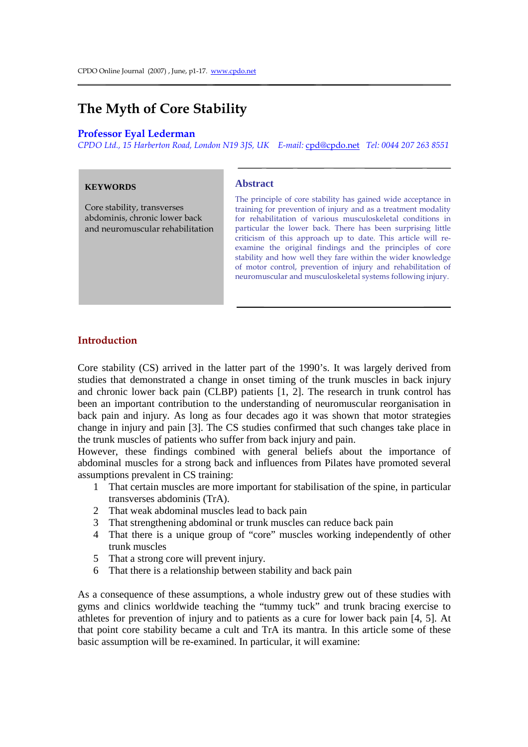# **The Myth of Core Stability**

#### **Professor Eyal Lederman**

*CPDO Ltd., 15 Harberton Road, London N19 3JS, UK E-mail:* cpd@cpdo.net *Tel: 0044 207 263 8551*

#### **KEYWORDS**

Core stability, transverses abdominis, chronic lower back and neuromuscular rehabilitation

#### **Abstract**

The principle of core stability has gained wide acceptance in training for prevention of injury and as a treatment modality for rehabilitation of various musculoskeletal conditions in particular the lower back. There has been surprising little criticism of this approach up to date. This article will reexamine the original findings and the principles of core stability and how well they fare within the wider knowledge of motor control, prevention of injury and rehabilitation of neuromuscular and musculoskeletal systems following injury.

#### **Introduction**

Core stability (CS) arrived in the latter part of the 1990's. It was largely derived from studies that demonstrated a change in onset timing of the trunk muscles in back injury and chronic lower back pain (CLBP) patients [1, 2]. The research in trunk control has been an important contribution to the understanding of neuromuscular reorganisation in back pain and injury. As long as four decades ago it was shown that motor strategies change in injury and pain [3]. The CS studies confirmed that such changes take place in the trunk muscles of patients who suffer from back injury and pain.

However, these findings combined with general beliefs about the importance of abdominal muscles for a strong back and influences from Pilates have promoted several assumptions prevalent in CS training:

- 1 That certain muscles are more important for stabilisation of the spine, in particular transverses abdominis (TrA).
- 2 That weak abdominal muscles lead to back pain
- 3 That strengthening abdominal or trunk muscles can reduce back pain
- 4 That there is a unique group of "core" muscles working independently of other trunk muscles
- 5 That a strong core will prevent injury.
- 6 That there is a relationship between stability and back pain

As a consequence of these assumptions, a whole industry grew out of these studies with gyms and clinics worldwide teaching the "tummy tuck" and trunk bracing exercise to athletes for prevention of injury and to patients as a cure for lower back pain [4, 5]. At that point core stability became a cult and TrA its mantra. In this article some of these basic assumption will be re-examined. In particular, it will examine: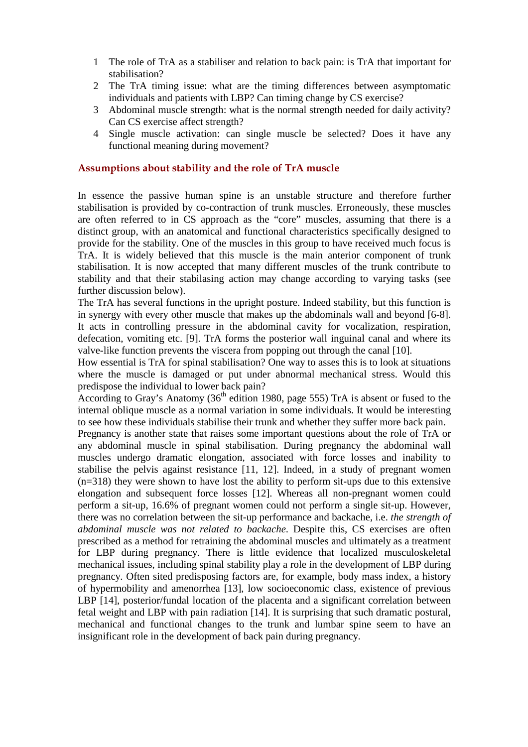- 1 The role of TrA as a stabiliser and relation to back pain: is TrA that important for stabilisation?
- 2 The TrA timing issue: what are the timing differences between asymptomatic individuals and patients with LBP? Can timing change by CS exercise?
- 3 Abdominal muscle strength: what is the normal strength needed for daily activity? Can CS exercise affect strength?
- 4 Single muscle activation: can single muscle be selected? Does it have any functional meaning during movement?

#### **Assumptions about stability and the role of TrA muscle**

In essence the passive human spine is an unstable structure and therefore further stabilisation is provided by co-contraction of trunk muscles. Erroneously, these muscles are often referred to in CS approach as the "core" muscles, assuming that there is a distinct group, with an anatomical and functional characteristics specifically designed to provide for the stability. One of the muscles in this group to have received much focus is TrA. It is widely believed that this muscle is the main anterior component of trunk stabilisation. It is now accepted that many different muscles of the trunk contribute to stability and that their stabilasing action may change according to varying tasks (see further discussion below).

The TrA has several functions in the upright posture. Indeed stability, but this function is in synergy with every other muscle that makes up the abdominals wall and beyond [6-8]. It acts in controlling pressure in the abdominal cavity for vocalization, respiration, defecation, vomiting etc. [9]. TrA forms the posterior wall inguinal canal and where its valve-like function prevents the viscera from popping out through the canal [10].

How essential is TrA for spinal stabilisation? One way to asses this is to look at situations where the muscle is damaged or put under abnormal mechanical stress. Would this predispose the individual to lower back pain?

According to Gray's Anatomy  $(36<sup>th</sup>$  edition 1980, page 555) TrA is absent or fused to the internal oblique muscle as a normal variation in some individuals. It would be interesting to see how these individuals stabilise their trunk and whether they suffer more back pain.

Pregnancy is another state that raises some important questions about the role of TrA or any abdominal muscle in spinal stabilisation. During pregnancy the abdominal wall muscles undergo dramatic elongation, associated with force losses and inability to stabilise the pelvis against resistance [11, 12]. Indeed, in a study of pregnant women (n=318) they were shown to have lost the ability to perform sit-ups due to this extensive elongation and subsequent force losses [12]. Whereas all non-pregnant women could perform a sit-up, 16.6% of pregnant women could not perform a single sit-up. However, there was no correlation between the sit-up performance and backache, i.e. *the strength of abdominal muscle was not related to backache*. Despite this, CS exercises are often prescribed as a method for retraining the abdominal muscles and ultimately as a treatment for LBP during pregnancy. There is little evidence that localized musculoskeletal mechanical issues, including spinal stability play a role in the development of LBP during pregnancy. Often sited predisposing factors are, for example, body mass index, a history of hypermobility and amenorrhea [13], low socioeconomic class, existence of previous LBP [14], posterior/fundal location of the placenta and a significant correlation between fetal weight and LBP with pain radiation [14]. It is surprising that such dramatic postural, mechanical and functional changes to the trunk and lumbar spine seem to have an insignificant role in the development of back pain during pregnancy.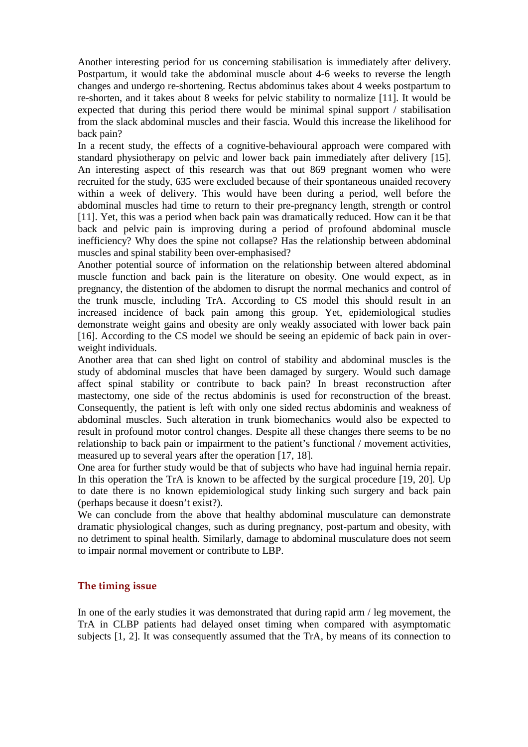Another interesting period for us concerning stabilisation is immediately after delivery. Postpartum, it would take the abdominal muscle about 4-6 weeks to reverse the length changes and undergo re-shortening. Rectus abdominus takes about 4 weeks postpartum to re-shorten, and it takes about 8 weeks for pelvic stability to normalize [11]. It would be expected that during this period there would be minimal spinal support / stabilisation from the slack abdominal muscles and their fascia. Would this increase the likelihood for back pain?

In a recent study, the effects of a cognitive-behavioural approach were compared with standard physiotherapy on pelvic and lower back pain immediately after delivery [15]. An interesting aspect of this research was that out 869 pregnant women who were recruited for the study, 635 were excluded because of their spontaneous unaided recovery within a week of delivery. This would have been during a period, well before the abdominal muscles had time to return to their pre-pregnancy length, strength or control [11]. Yet, this was a period when back pain was dramatically reduced. How can it be that back and pelvic pain is improving during a period of profound abdominal muscle inefficiency? Why does the spine not collapse? Has the relationship between abdominal muscles and spinal stability been over-emphasised?

Another potential source of information on the relationship between altered abdominal muscle function and back pain is the literature on obesity. One would expect, as in pregnancy, the distention of the abdomen to disrupt the normal mechanics and control of the trunk muscle, including TrA. According to CS model this should result in an increased incidence of back pain among this group. Yet, epidemiological studies demonstrate weight gains and obesity are only weakly associated with lower back pain [16]. According to the CS model we should be seeing an epidemic of back pain in overweight individuals.

Another area that can shed light on control of stability and abdominal muscles is the study of abdominal muscles that have been damaged by surgery. Would such damage affect spinal stability or contribute to back pain? In breast reconstruction after mastectomy, one side of the rectus abdominis is used for reconstruction of the breast. Consequently, the patient is left with only one sided rectus abdominis and weakness of abdominal muscles. Such alteration in trunk biomechanics would also be expected to result in profound motor control changes. Despite all these changes there seems to be no relationship to back pain or impairment to the patient's functional / movement activities, measured up to several years after the operation [17, 18].

One area for further study would be that of subjects who have had inguinal hernia repair. In this operation the TrA is known to be affected by the surgical procedure [19, 20]. Up to date there is no known epidemiological study linking such surgery and back pain (perhaps because it doesn't exist?).

We can conclude from the above that healthy abdominal musculature can demonstrate dramatic physiological changes, such as during pregnancy, post-partum and obesity, with no detriment to spinal health. Similarly, damage to abdominal musculature does not seem to impair normal movement or contribute to LBP.

# **The timing issue**

In one of the early studies it was demonstrated that during rapid arm / leg movement, the TrA in CLBP patients had delayed onset timing when compared with asymptomatic subjects [1, 2]. It was consequently assumed that the TrA, by means of its connection to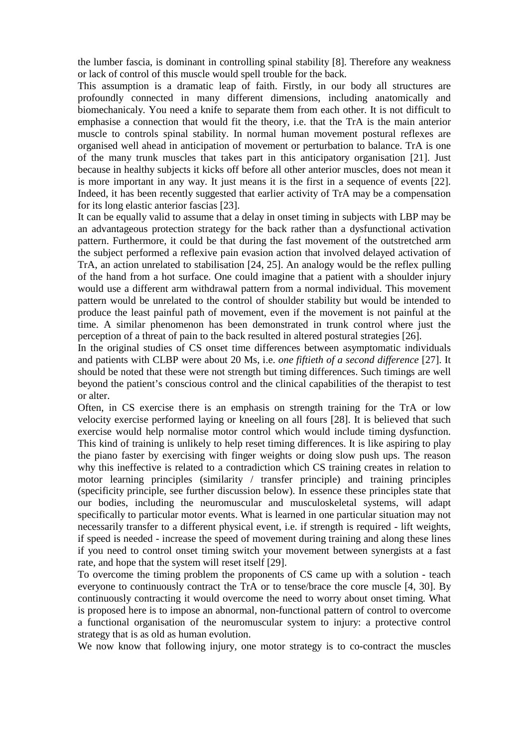the lumber fascia, is dominant in controlling spinal stability [8]. Therefore any weakness or lack of control of this muscle would spell trouble for the back.

This assumption is a dramatic leap of faith. Firstly, in our body all structures are profoundly connected in many different dimensions, including anatomically and biomechanicaly. You need a knife to separate them from each other. It is not difficult to emphasise a connection that would fit the theory, i.e. that the TrA is the main anterior muscle to controls spinal stability. In normal human movement postural reflexes are organised well ahead in anticipation of movement or perturbation to balance. TrA is one of the many trunk muscles that takes part in this anticipatory organisation [21]. Just because in healthy subjects it kicks off before all other anterior muscles, does not mean it is more important in any way. It just means it is the first in a sequence of events [22]. Indeed, it has been recently suggested that earlier activity of TrA may be a compensation for its long elastic anterior fascias [23].

It can be equally valid to assume that a delay in onset timing in subjects with LBP may be an advantageous protection strategy for the back rather than a dysfunctional activation pattern. Furthermore, it could be that during the fast movement of the outstretched arm the subject performed a reflexive pain evasion action that involved delayed activation of TrA, an action unrelated to stabilisation [24, 25]. An analogy would be the reflex pulling of the hand from a hot surface. One could imagine that a patient with a shoulder injury would use a different arm withdrawal pattern from a normal individual. This movement pattern would be unrelated to the control of shoulder stability but would be intended to produce the least painful path of movement, even if the movement is not painful at the time. A similar phenomenon has been demonstrated in trunk control where just the perception of a threat of pain to the back resulted in altered postural strategies [26].

In the original studies of CS onset time differences between asymptomatic individuals and patients with CLBP were about 20 Ms, i.e. *one fiftieth of a second difference* [27]. It should be noted that these were not strength but timing differences. Such timings are well beyond the patient's conscious control and the clinical capabilities of the therapist to test or alter.

Often, in CS exercise there is an emphasis on strength training for the TrA or low velocity exercise performed laying or kneeling on all fours [28]. It is believed that such exercise would help normalise motor control which would include timing dysfunction. This kind of training is unlikely to help reset timing differences. It is like aspiring to play the piano faster by exercising with finger weights or doing slow push ups. The reason why this ineffective is related to a contradiction which CS training creates in relation to motor learning principles (similarity / transfer principle) and training principles (specificity principle, see further discussion below). In essence these principles state that our bodies, including the neuromuscular and musculoskeletal systems, will adapt specifically to particular motor events. What is learned in one particular situation may not necessarily transfer to a different physical event, i.e. if strength is required - lift weights, if speed is needed - increase the speed of movement during training and along these lines if you need to control onset timing switch your movement between synergists at a fast rate, and hope that the system will reset itself [29].

To overcome the timing problem the proponents of CS came up with a solution - teach everyone to continuously contract the TrA or to tense/brace the core muscle [4, 30]. By continuously contracting it would overcome the need to worry about onset timing. What is proposed here is to impose an abnormal, non-functional pattern of control to overcome a functional organisation of the neuromuscular system to injury: a protective control strategy that is as old as human evolution.

We now know that following injury, one motor strategy is to co-contract the muscles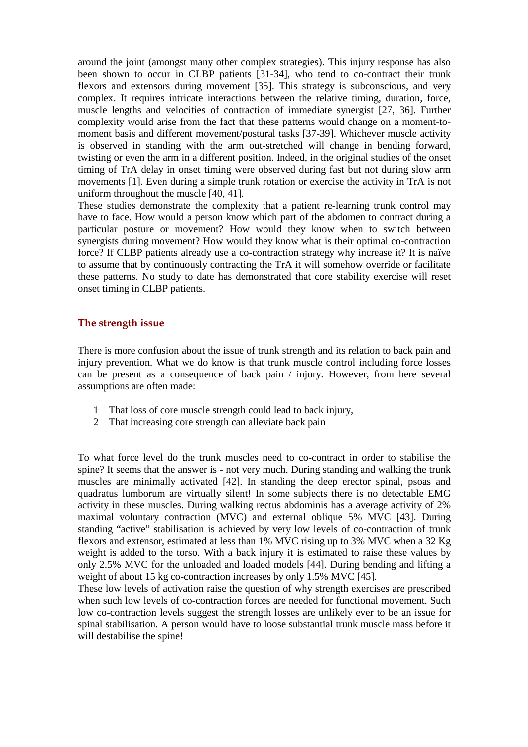around the joint (amongst many other complex strategies). This injury response has also been shown to occur in CLBP patients [31-34], who tend to co-contract their trunk flexors and extensors during movement [35]. This strategy is subconscious, and very complex. It requires intricate interactions between the relative timing, duration, force, muscle lengths and velocities of contraction of immediate synergist [27, 36]. Further complexity would arise from the fact that these patterns would change on a moment-tomoment basis and different movement/postural tasks [37-39]. Whichever muscle activity is observed in standing with the arm out-stretched will change in bending forward, twisting or even the arm in a different position. Indeed, in the original studies of the onset timing of TrA delay in onset timing were observed during fast but not during slow arm movements [1]. Even during a simple trunk rotation or exercise the activity in TrA is not uniform throughout the muscle [40, 41].

These studies demonstrate the complexity that a patient re-learning trunk control may have to face. How would a person know which part of the abdomen to contract during a particular posture or movement? How would they know when to switch between synergists during movement? How would they know what is their optimal co-contraction force? If CLBP patients already use a co-contraction strategy why increase it? It is naïve to assume that by continuously contracting the TrA it will somehow override or facilitate these patterns. No study to date has demonstrated that core stability exercise will reset onset timing in CLBP patients.

#### **The strength issue**

There is more confusion about the issue of trunk strength and its relation to back pain and injury prevention. What we do know is that trunk muscle control including force losses can be present as a consequence of back pain / injury. However, from here several assumptions are often made:

- 1 That loss of core muscle strength could lead to back injury,
- 2 That increasing core strength can alleviate back pain

To what force level do the trunk muscles need to co-contract in order to stabilise the spine? It seems that the answer is - not very much. During standing and walking the trunk muscles are minimally activated [42]. In standing the deep erector spinal, psoas and quadratus lumborum are virtually silent! In some subjects there is no detectable EMG activity in these muscles. During walking rectus abdominis has a average activity of 2% maximal voluntary contraction (MVC) and external oblique 5% MVC [43]. During standing "active" stabilisation is achieved by very low levels of co-contraction of trunk flexors and extensor, estimated at less than 1% MVC rising up to 3% MVC when a 32 Kg weight is added to the torso. With a back injury it is estimated to raise these values by only 2.5% MVC for the unloaded and loaded models [44]. During bending and lifting a weight of about 15 kg co-contraction increases by only 1.5% MVC [45].

These low levels of activation raise the question of why strength exercises are prescribed when such low levels of co-contraction forces are needed for functional movement. Such low co-contraction levels suggest the strength losses are unlikely ever to be an issue for spinal stabilisation. A person would have to loose substantial trunk muscle mass before it will destabilise the spine!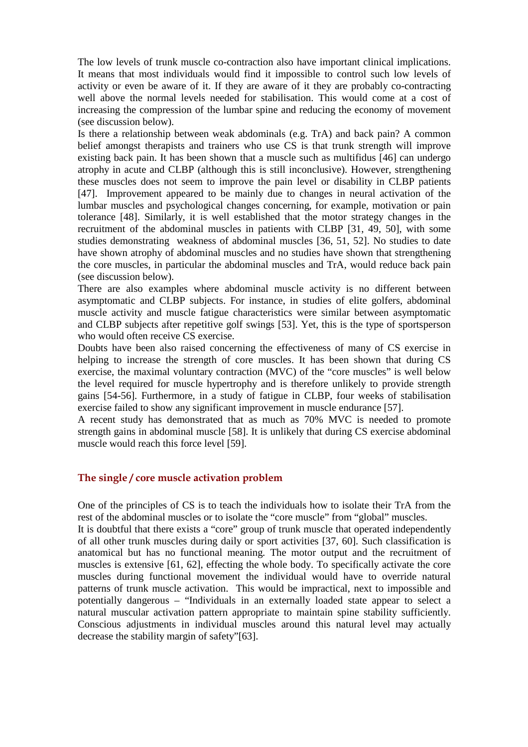The low levels of trunk muscle co-contraction also have important clinical implications. It means that most individuals would find it impossible to control such low levels of activity or even be aware of it. If they are aware of it they are probably co-contracting well above the normal levels needed for stabilisation. This would come at a cost of increasing the compression of the lumbar spine and reducing the economy of movement (see discussion below).

Is there a relationship between weak abdominals (e.g. TrA) and back pain? A common belief amongst therapists and trainers who use CS is that trunk strength will improve existing back pain. It has been shown that a muscle such as multifidus [46] can undergo atrophy in acute and CLBP (although this is still inconclusive). However, strengthening these muscles does not seem to improve the pain level or disability in CLBP patients [47]. Improvement appeared to be mainly due to changes in neural activation of the lumbar muscles and psychological changes concerning, for example, motivation or pain tolerance [48]. Similarly, it is well established that the motor strategy changes in the recruitment of the abdominal muscles in patients with CLBP [31, 49, 50], with some studies demonstrating weakness of abdominal muscles [36, 51, 52]. No studies to date have shown atrophy of abdominal muscles and no studies have shown that strengthening the core muscles, in particular the abdominal muscles and TrA, would reduce back pain (see discussion below).

There are also examples where abdominal muscle activity is no different between asymptomatic and CLBP subjects. For instance, in studies of elite golfers, abdominal muscle activity and muscle fatigue characteristics were similar between asymptomatic and CLBP subjects after repetitive golf swings [53]. Yet, this is the type of sportsperson who would often receive CS exercise.

Doubts have been also raised concerning the effectiveness of many of CS exercise in helping to increase the strength of core muscles. It has been shown that during CS exercise, the maximal voluntary contraction (MVC) of the "core muscles" is well below the level required for muscle hypertrophy and is therefore unlikely to provide strength gains [54-56]. Furthermore, in a study of fatigue in CLBP, four weeks of stabilisation exercise failed to show any significant improvement in muscle endurance [57].

A recent study has demonstrated that as much as 70% MVC is needed to promote strength gains in abdominal muscle [58]. It is unlikely that during CS exercise abdominal muscle would reach this force level [59].

#### **The single / core muscle activation problem**

One of the principles of CS is to teach the individuals how to isolate their TrA from the rest of the abdominal muscles or to isolate the "core muscle" from "global" muscles. It is doubtful that there exists a "core" group of trunk muscle that operated independently of all other trunk muscles during daily or sport activities [37, 60]. Such classification is anatomical but has no functional meaning. The motor output and the recruitment of muscles is extensive [61, 62], effecting the whole body. To specifically activate the core muscles during functional movement the individual would have to override natural patterns of trunk muscle activation. This would be impractical, next to impossible and potentially dangerous – "Individuals in an externally loaded state appear to select a natural muscular activation pattern appropriate to maintain spine stability sufficiently. Conscious adjustments in individual muscles around this natural level may actually decrease the stability margin of safety"[63].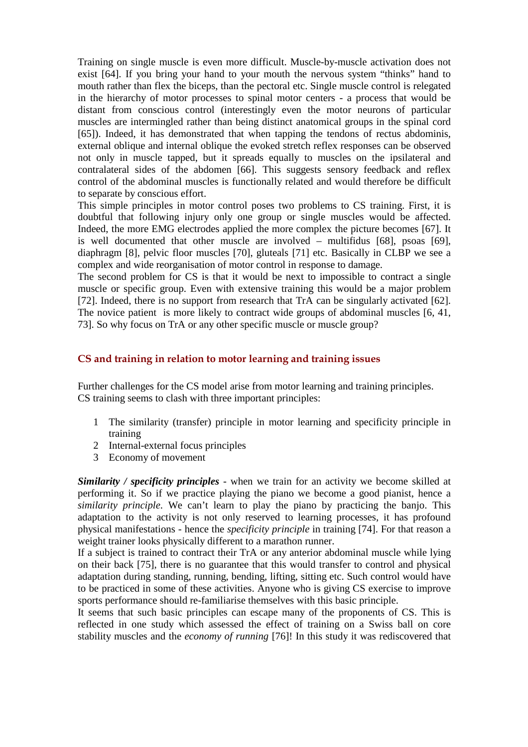Training on single muscle is even more difficult. Muscle-by-muscle activation does not exist [64]. If you bring your hand to your mouth the nervous system "thinks" hand to mouth rather than flex the biceps, than the pectoral etc. Single muscle control is relegated in the hierarchy of motor processes to spinal motor centers - a process that would be distant from conscious control (interestingly even the motor neurons of particular muscles are intermingled rather than being distinct anatomical groups in the spinal cord [65]). Indeed, it has demonstrated that when tapping the tendons of rectus abdominis, external oblique and internal oblique the evoked stretch reflex responses can be observed not only in muscle tapped, but it spreads equally to muscles on the ipsilateral and contralateral sides of the abdomen [66]. This suggests sensory feedback and reflex control of the abdominal muscles is functionally related and would therefore be difficult to separate by conscious effort.

This simple principles in motor control poses two problems to CS training. First, it is doubtful that following injury only one group or single muscles would be affected. Indeed, the more EMG electrodes applied the more complex the picture becomes [67]. It is well documented that other muscle are involved – multifidus [68], psoas [69], diaphragm [8], pelvic floor muscles [70], gluteals [71] etc. Basically in CLBP we see a complex and wide reorganisation of motor control in response to damage.

The second problem for CS is that it would be next to impossible to contract a single muscle or specific group. Even with extensive training this would be a major problem [72]. Indeed, there is no support from research that TrA can be singularly activated [62]. The novice patient is more likely to contract wide groups of abdominal muscles [6, 41, 73]. So why focus on TrA or any other specific muscle or muscle group?

# **CS and training in relation to motor learning and training issues**

Further challenges for the CS model arise from motor learning and training principles. CS training seems to clash with three important principles:

- 1 The similarity (transfer) principle in motor learning and specificity principle in training
- 2 Internal-external focus principles
- 3 Economy of movement

*Similarity / specificity principles* - when we train for an activity we become skilled at performing it. So if we practice playing the piano we become a good pianist, hence a *similarity principle*. We can't learn to play the piano by practicing the banjo. This adaptation to the activity is not only reserved to learning processes, it has profound physical manifestations - hence the *specificity principle* in training [74]. For that reason a weight trainer looks physically different to a marathon runner.

If a subject is trained to contract their TrA or any anterior abdominal muscle while lying on their back [75], there is no guarantee that this would transfer to control and physical adaptation during standing, running, bending, lifting, sitting etc. Such control would have to be practiced in some of these activities. Anyone who is giving CS exercise to improve sports performance should re-familiarise themselves with this basic principle.

It seems that such basic principles can escape many of the proponents of CS. This is reflected in one study which assessed the effect of training on a Swiss ball on core stability muscles and the *economy of running* [76]! In this study it was rediscovered that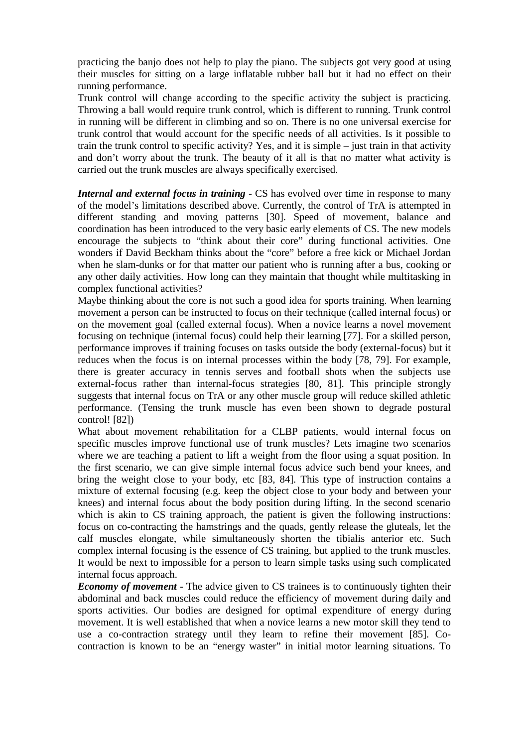practicing the banjo does not help to play the piano. The subjects got very good at using their muscles for sitting on a large inflatable rubber ball but it had no effect on their running performance.

Trunk control will change according to the specific activity the subject is practicing. Throwing a ball would require trunk control, which is different to running. Trunk control in running will be different in climbing and so on. There is no one universal exercise for trunk control that would account for the specific needs of all activities. Is it possible to train the trunk control to specific activity? Yes, and it is simple – just train in that activity and don't worry about the trunk. The beauty of it all is that no matter what activity is carried out the trunk muscles are always specifically exercised.

*Internal and external focus in training* - CS has evolved over time in response to many of the model's limitations described above. Currently, the control of TrA is attempted in different standing and moving patterns [30]. Speed of movement, balance and coordination has been introduced to the very basic early elements of CS. The new models encourage the subjects to "think about their core" during functional activities. One wonders if David Beckham thinks about the "core" before a free kick or Michael Jordan when he slam-dunks or for that matter our patient who is running after a bus, cooking or any other daily activities. How long can they maintain that thought while multitasking in complex functional activities?

Maybe thinking about the core is not such a good idea for sports training. When learning movement a person can be instructed to focus on their technique (called internal focus) or on the movement goal (called external focus). When a novice learns a novel movement focusing on technique (internal focus) could help their learning [77]. For a skilled person, performance improves if training focuses on tasks outside the body (external-focus) but it reduces when the focus is on internal processes within the body [78, 79]. For example, there is greater accuracy in tennis serves and football shots when the subjects use external-focus rather than internal-focus strategies [80, 81]. This principle strongly suggests that internal focus on TrA or any other muscle group will reduce skilled athletic performance. (Tensing the trunk muscle has even been shown to degrade postural control! [82])

What about movement rehabilitation for a CLBP patients, would internal focus on specific muscles improve functional use of trunk muscles? Lets imagine two scenarios where we are teaching a patient to lift a weight from the floor using a squat position. In the first scenario, we can give simple internal focus advice such bend your knees, and bring the weight close to your body, etc [83, 84]. This type of instruction contains a mixture of external focusing (e.g. keep the object close to your body and between your knees) and internal focus about the body position during lifting. In the second scenario which is akin to CS training approach, the patient is given the following instructions: focus on co-contracting the hamstrings and the quads, gently release the gluteals, let the calf muscles elongate, while simultaneously shorten the tibialis anterior etc. Such complex internal focusing is the essence of CS training, but applied to the trunk muscles. It would be next to impossible for a person to learn simple tasks using such complicated internal focus approach.

*Economy of movement* - The advice given to CS trainees is to continuously tighten their abdominal and back muscles could reduce the efficiency of movement during daily and sports activities. Our bodies are designed for optimal expenditure of energy during movement. It is well established that when a novice learns a new motor skill they tend to use a co-contraction strategy until they learn to refine their movement [85]. Cocontraction is known to be an "energy waster" in initial motor learning situations. To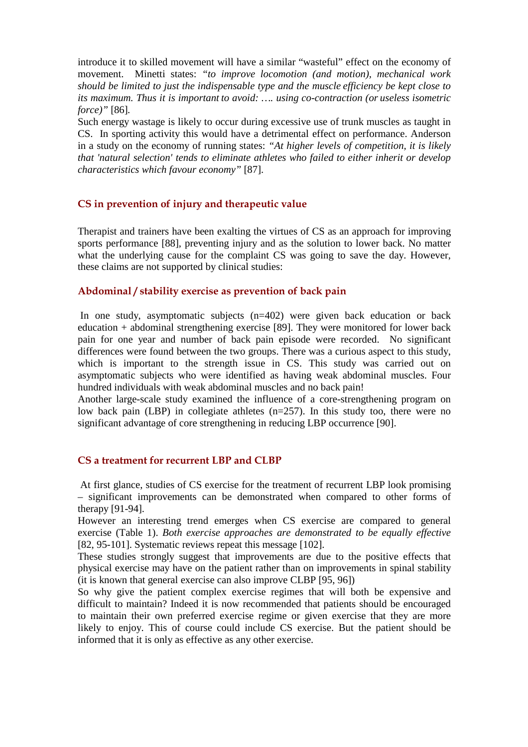introduce it to skilled movement will have a similar "wasteful" effect on the economy of movement. Minetti states: *"to improve locomotion (and motion), mechanical work should be limited to just the indispensable type and the muscle efficiency be kept close to its maximum. Thus it is important to avoid: …. using co-contraction (or useless isometric force)"* [86]*.* 

Such energy wastage is likely to occur during excessive use of trunk muscles as taught in CS. In sporting activity this would have a detrimental effect on performance. Anderson in a study on the economy of running states: *"At higher levels of competition, it is likely that 'natural selection' tends to eliminate athletes who failed to either inherit or develop characteristics which favour economy"* [87].

### **CS in prevention of injury and therapeutic value**

Therapist and trainers have been exalting the virtues of CS as an approach for improving sports performance [88], preventing injury and as the solution to lower back. No matter what the underlying cause for the complaint CS was going to save the day. However, these claims are not supported by clinical studies:

### **Abdominal / stability exercise as prevention of back pain**

In one study, asymptomatic subjects  $(n=402)$  were given back education or back education + abdominal strengthening exercise [89]. They were monitored for lower back pain for one year and number of back pain episode were recorded. No significant differences were found between the two groups. There was a curious aspect to this study, which is important to the strength issue in CS. This study was carried out on asymptomatic subjects who were identified as having weak abdominal muscles. Four hundred individuals with weak abdominal muscles and no back pain!

Another large-scale study examined the influence of a core-strengthening program on low back pain (LBP) in collegiate athletes  $(n=257)$ . In this study too, there were no significant advantage of core strengthening in reducing LBP occurrence [90].

#### **CS a treatment for recurrent LBP and CLBP**

 At first glance, studies of CS exercise for the treatment of recurrent LBP look promising – significant improvements can be demonstrated when compared to other forms of therapy [91-94].

However an interesting trend emerges when CS exercise are compared to general exercise (Table 1). *Both exercise approaches are demonstrated to be equally effective* [82, 95-101]. Systematic reviews repeat this message [102].

These studies strongly suggest that improvements are due to the positive effects that physical exercise may have on the patient rather than on improvements in spinal stability (it is known that general exercise can also improve CLBP [95, 96])

So why give the patient complex exercise regimes that will both be expensive and difficult to maintain? Indeed it is now recommended that patients should be encouraged to maintain their own preferred exercise regime or given exercise that they are more likely to enjoy. This of course could include CS exercise. But the patient should be informed that it is only as effective as any other exercise.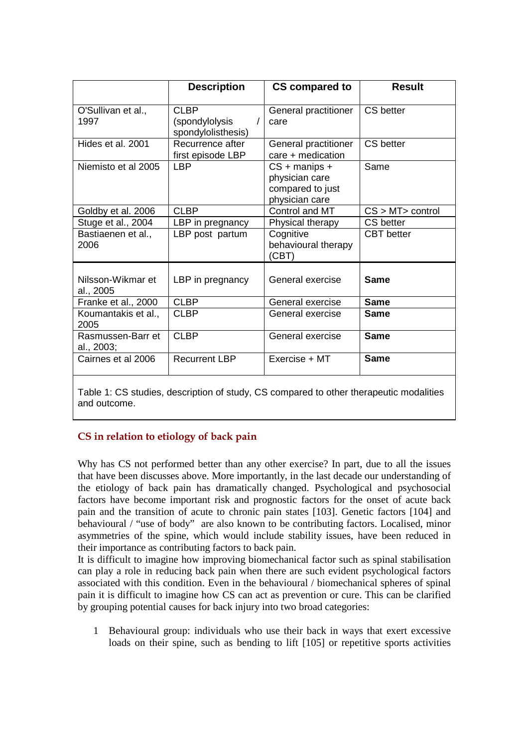|                                 | <b>Description</b>                                              | CS compared to                                                            | <b>Result</b>       |
|---------------------------------|-----------------------------------------------------------------|---------------------------------------------------------------------------|---------------------|
| O'Sullivan et al.,<br>1997      | <b>CLBP</b><br>(spondylolysis<br>$\prime$<br>spondylolisthesis) | General practitioner<br>care                                              | CS better           |
| Hides et al. 2001               | Recurrence after<br>first episode LBP                           | General practitioner<br>care + medication                                 | CS better           |
| Niemisto et al 2005             | <b>LBP</b>                                                      | $CS +$ manips $+$<br>physician care<br>compared to just<br>physician care | Same                |
| Goldby et al. 2006              | <b>CLBP</b>                                                     | Control and MT                                                            | $CS > MT >$ control |
| Stuge et al., 2004              | LBP in pregnancy                                                | Physical therapy                                                          | CS better           |
| Bastiaenen et al.,<br>2006      | LBP post partum                                                 | Cognitive<br>behavioural therapy<br>(CBT)                                 | <b>CBT</b> better   |
| Nilsson-Wikmar et<br>al., 2005  | LBP in pregnancy                                                | General exercise                                                          | Same                |
| Franke et al., 2000             | <b>CLBP</b>                                                     | General exercise                                                          | <b>Same</b>         |
| Koumantakis et al.,<br>2005     | <b>CLBP</b>                                                     | General exercise                                                          | Same                |
| Rasmussen-Barr et<br>al., 2003; | <b>CLBP</b>                                                     | General exercise                                                          | Same                |
| Cairnes et al 2006              | <b>Recurrent LBP</b>                                            | Exercise + MT                                                             | Same                |
|                                 |                                                                 |                                                                           |                     |

Table 1: CS studies, description of study, CS compared to other therapeutic modalities and outcome.

# **CS in relation to etiology of back pain**

Why has CS not performed better than any other exercise? In part, due to all the issues that have been discusses above. More importantly, in the last decade our understanding of the etiology of back pain has dramatically changed. Psychological and psychosocial factors have become important risk and prognostic factors for the onset of acute back pain and the transition of acute to chronic pain states [103]. Genetic factors [104] and behavioural / "use of body" are also known to be contributing factors. Localised, minor asymmetries of the spine, which would include stability issues, have been reduced in their importance as contributing factors to back pain.

It is difficult to imagine how improving biomechanical factor such as spinal stabilisation can play a role in reducing back pain when there are such evident psychological factors associated with this condition. Even in the behavioural / biomechanical spheres of spinal pain it is difficult to imagine how CS can act as prevention or cure. This can be clarified by grouping potential causes for back injury into two broad categories:

1 Behavioural group: individuals who use their back in ways that exert excessive loads on their spine, such as bending to lift [105] or repetitive sports activities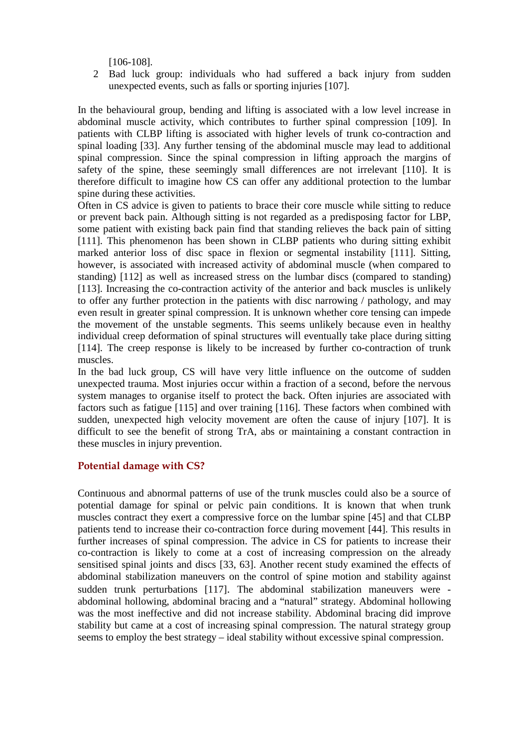[106-108].

2 Bad luck group: individuals who had suffered a back injury from sudden unexpected events, such as falls or sporting injuries [107].

In the behavioural group, bending and lifting is associated with a low level increase in abdominal muscle activity, which contributes to further spinal compression [109]. In patients with CLBP lifting is associated with higher levels of trunk co-contraction and spinal loading [33]. Any further tensing of the abdominal muscle may lead to additional spinal compression. Since the spinal compression in lifting approach the margins of safety of the spine, these seemingly small differences are not irrelevant [110]. It is therefore difficult to imagine how CS can offer any additional protection to the lumbar spine during these activities.

Often in CS advice is given to patients to brace their core muscle while sitting to reduce or prevent back pain. Although sitting is not regarded as a predisposing factor for LBP, some patient with existing back pain find that standing relieves the back pain of sitting [111]. This phenomenon has been shown in CLBP patients who during sitting exhibit marked anterior loss of disc space in flexion or segmental instability [111]. Sitting, however, is associated with increased activity of abdominal muscle (when compared to standing) [112] as well as increased stress on the lumbar discs (compared to standing) [113]. Increasing the co-contraction activity of the anterior and back muscles is unlikely to offer any further protection in the patients with disc narrowing / pathology, and may even result in greater spinal compression. It is unknown whether core tensing can impede the movement of the unstable segments. This seems unlikely because even in healthy individual creep deformation of spinal structures will eventually take place during sitting [114]. The creep response is likely to be increased by further co-contraction of trunk muscles.

In the bad luck group, CS will have very little influence on the outcome of sudden unexpected trauma. Most injuries occur within a fraction of a second, before the nervous system manages to organise itself to protect the back. Often injuries are associated with factors such as fatigue [115] and over training [116]. These factors when combined with sudden, unexpected high velocity movement are often the cause of injury [107]. It is difficult to see the benefit of strong TrA, abs or maintaining a constant contraction in these muscles in injury prevention.

# **Potential damage with CS?**

Continuous and abnormal patterns of use of the trunk muscles could also be a source of potential damage for spinal or pelvic pain conditions. It is known that when trunk muscles contract they exert a compressive force on the lumbar spine [45] and that CLBP patients tend to increase their co-contraction force during movement [44]. This results in further increases of spinal compression. The advice in CS for patients to increase their co-contraction is likely to come at a cost of increasing compression on the already sensitised spinal joints and discs [33, 63]. Another recent study examined the effects of abdominal stabilization maneuvers on the control of spine motion and stability against sudden trunk perturbations [117]. The abdominal stabilization maneuvers were abdominal hollowing, abdominal bracing and a "natural" strategy. Abdominal hollowing was the most ineffective and did not increase stability. Abdominal bracing did improve stability but came at a cost of increasing spinal compression. The natural strategy group seems to employ the best strategy – ideal stability without excessive spinal compression.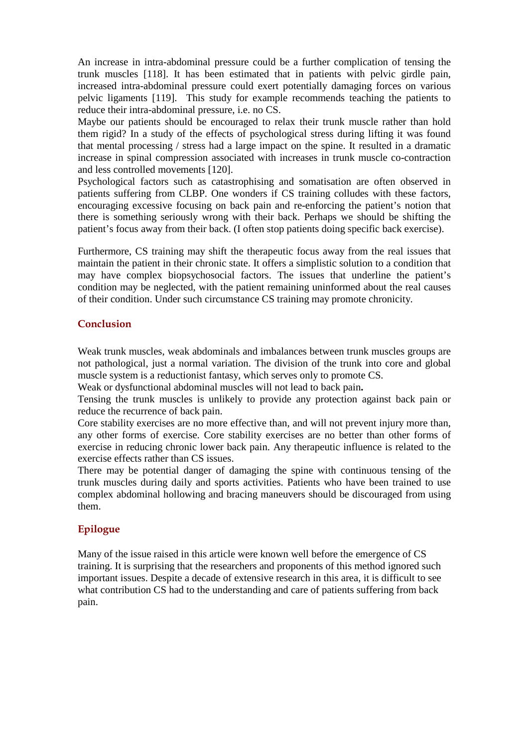An increase in intra-abdominal pressure could be a further complication of tensing the trunk muscles [118]. It has been estimated that in patients with pelvic girdle pain, increased intra-abdominal pressure could exert potentially damaging forces on various pelvic ligaments [119]. This study for example recommends teaching the patients to reduce their intra-abdominal pressure, i.e. no CS.

Maybe our patients should be encouraged to relax their trunk muscle rather than hold them rigid? In a study of the effects of psychological stress during lifting it was found that mental processing / stress had a large impact on the spine. It resulted in a dramatic increase in spinal compression associated with increases in trunk muscle co-contraction and less controlled movements [120].

Psychological factors such as catastrophising and somatisation are often observed in patients suffering from CLBP. One wonders if CS training colludes with these factors, encouraging excessive focusing on back pain and re-enforcing the patient's notion that there is something seriously wrong with their back. Perhaps we should be shifting the patient's focus away from their back. (I often stop patients doing specific back exercise).

Furthermore, CS training may shift the therapeutic focus away from the real issues that maintain the patient in their chronic state. It offers a simplistic solution to a condition that may have complex biopsychosocial factors. The issues that underline the patient's condition may be neglected, with the patient remaining uninformed about the real causes of their condition. Under such circumstance CS training may promote chronicity.

### **Conclusion**

Weak trunk muscles, weak abdominals and imbalances between trunk muscles groups are not pathological, just a normal variation. The division of the trunk into core and global muscle system is a reductionist fantasy, which serves only to promote CS.

Weak or dysfunctional abdominal muscles will not lead to back pain**.** 

Tensing the trunk muscles is unlikely to provide any protection against back pain or reduce the recurrence of back pain.

Core stability exercises are no more effective than, and will not prevent injury more than, any other forms of exercise. Core stability exercises are no better than other forms of exercise in reducing chronic lower back pain. Any therapeutic influence is related to the exercise effects rather than CS issues.

There may be potential danger of damaging the spine with continuous tensing of the trunk muscles during daily and sports activities. Patients who have been trained to use complex abdominal hollowing and bracing maneuvers should be discouraged from using them.

# **Epilogue**

Many of the issue raised in this article were known well before the emergence of CS training. It is surprising that the researchers and proponents of this method ignored such important issues. Despite a decade of extensive research in this area, it is difficult to see what contribution CS had to the understanding and care of patients suffering from back pain.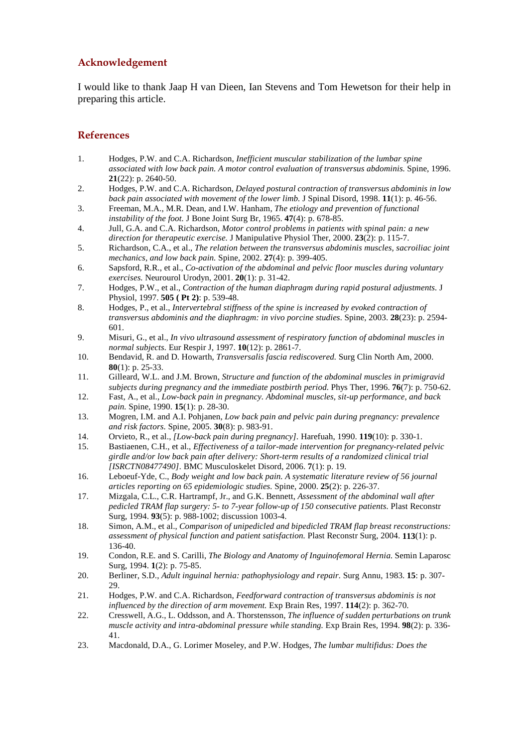# **Acknowledgement**

I would like to thank Jaap H van Dieen, Ian Stevens and Tom Hewetson for their help in preparing this article.

### **References**

- 1. Hodges, P.W. and C.A. Richardson, *Inefficient muscular stabilization of the lumbar spine associated with low back pain. A motor control evaluation of transversus abdominis.* Spine, 1996. **21**(22): p. 2640-50.
- 2. Hodges, P.W. and C.A. Richardson, *Delayed postural contraction of transversus abdominis in low back pain associated with movement of the lower limb.* J Spinal Disord, 1998. **11**(1): p. 46-56.
- 3. Freeman, M.A., M.R. Dean, and I.W. Hanham, *The etiology and prevention of functional instability of the foot.* J Bone Joint Surg Br, 1965. **47**(4): p. 678-85.
- 4. Jull, G.A. and C.A. Richardson, *Motor control problems in patients with spinal pain: a new direction for therapeutic exercise.* J Manipulative Physiol Ther, 2000. **23**(2): p. 115-7.
- 5. Richardson, C.A., et al., *The relation between the transversus abdominis muscles, sacroiliac joint mechanics, and low back pain.* Spine, 2002. **27**(4): p. 399-405.
- 6. Sapsford, R.R., et al., *Co-activation of the abdominal and pelvic floor muscles during voluntary exercises.* Neurourol Urodyn, 2001. **20**(1): p. 31-42.
- 7. Hodges, P.W., et al., *Contraction of the human diaphragm during rapid postural adjustments.* J Physiol, 1997. **505 ( Pt 2)**: p. 539-48.
- 8. Hodges, P., et al., *Intervertebral stiffness of the spine is increased by evoked contraction of transversus abdominis and the diaphragm: in vivo porcine studies.* Spine, 2003. **28**(23): p. 2594- 601.
- 9. Misuri, G., et al., *In vivo ultrasound assessment of respiratory function of abdominal muscles in normal subjects.* Eur Respir J, 1997. **10**(12): p. 2861-7.
- 10. Bendavid, R. and D. Howarth, *Transversalis fascia rediscovered.* Surg Clin North Am, 2000. **80**(1): p. 25-33.
- 11. Gilleard, W.L. and J.M. Brown, *Structure and function of the abdominal muscles in primigravid subjects during pregnancy and the immediate postbirth period.* Phys Ther, 1996. **76**(7): p. 750-62.
- 12. Fast, A., et al., *Low-back pain in pregnancy. Abdominal muscles, sit-up performance, and back pain.* Spine, 1990. **15**(1): p. 28-30.
- 13. Mogren, I.M. and A.I. Pohjanen, *Low back pain and pelvic pain during pregnancy: prevalence and risk factors.* Spine, 2005. **30**(8): p. 983-91.
- 14. Orvieto, R., et al., *[Low-back pain during pregnancy].* Harefuah, 1990. **119**(10): p. 330-1.
- 15. Bastiaenen, C.H., et al., *Effectiveness of a tailor-made intervention for pregnancy-related pelvic girdle and/or low back pain after delivery: Short-term results of a randomized clinical trial [ISRCTN08477490].* BMC Musculoskelet Disord, 2006. **7**(1): p. 19.
- 16. Leboeuf-Yde, C., *Body weight and low back pain. A systematic literature review of 56 journal articles reporting on 65 epidemiologic studies.* Spine, 2000. **25**(2): p. 226-37.
- 17. Mizgala, C.L., C.R. Hartrampf, Jr., and G.K. Bennett, *Assessment of the abdominal wall after pedicled TRAM flap surgery: 5- to 7-year follow-up of 150 consecutive patients.* Plast Reconstr Surg, 1994. **93**(5): p. 988-1002; discussion 1003-4.
- 18. Simon, A.M., et al., *Comparison of unipedicled and bipedicled TRAM flap breast reconstructions: assessment of physical function and patient satisfaction.* Plast Reconstr Surg, 2004. **113**(1): p. 136-40.
- 19. Condon, R.E. and S. Carilli, *The Biology and Anatomy of Inguinofemoral Hernia.* Semin Laparosc Surg, 1994. **1**(2): p. 75-85.
- 20. Berliner, S.D., *Adult inguinal hernia: pathophysiology and repair.* Surg Annu, 1983. **15**: p. 307- 29.
- 21. Hodges, P.W. and C.A. Richardson, *Feedforward contraction of transversus abdominis is not influenced by the direction of arm movement.* Exp Brain Res, 1997. **114**(2): p. 362-70.
- 22. Cresswell, A.G., L. Oddsson, and A. Thorstensson, *The influence of sudden perturbations on trunk muscle activity and intra-abdominal pressure while standing.* Exp Brain Res, 1994. **98**(2): p. 336- 41.
- 23. Macdonald, D.A., G. Lorimer Moseley, and P.W. Hodges, *The lumbar multifidus: Does the*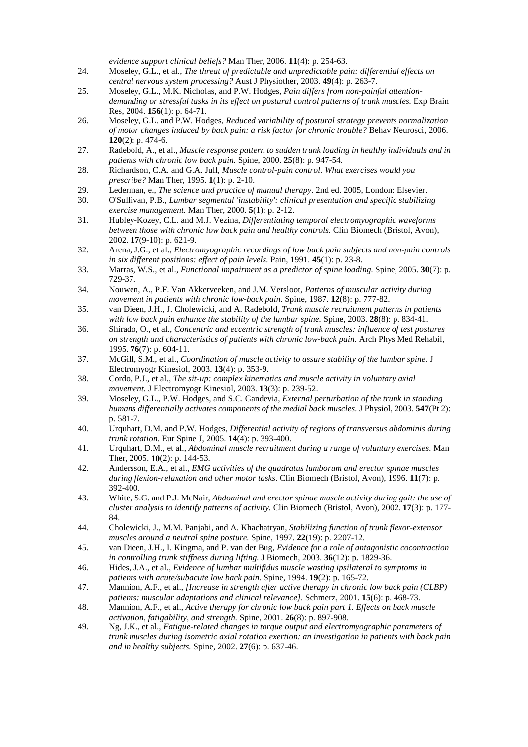*evidence support clinical beliefs?* Man Ther, 2006. **11**(4): p. 254-63.

- 24. Moseley, G.L., et al., *The threat of predictable and unpredictable pain: differential effects on central nervous system processing?* Aust J Physiother, 2003. **49**(4): p. 263-7.
- 25. Moseley, G.L., M.K. Nicholas, and P.W. Hodges, *Pain differs from non-painful attentiondemanding or stressful tasks in its effect on postural control patterns of trunk muscles.* Exp Brain Res, 2004. **156**(1): p. 64-71.
- 26. Moseley, G.L. and P.W. Hodges, *Reduced variability of postural strategy prevents normalization of motor changes induced by back pain: a risk factor for chronic trouble?* Behav Neurosci, 2006. **120**(2): p. 474-6.
- 27. Radebold, A., et al., *Muscle response pattern to sudden trunk loading in healthy individuals and in patients with chronic low back pain.* Spine, 2000. **25**(8): p. 947-54.
- 28. Richardson, C.A. and G.A. Jull, *Muscle control-pain control. What exercises would you prescribe?* Man Ther, 1995. **1**(1): p. 2-10.
- 29. Lederman, e., *The science and practice of manual therapy*. 2nd ed. 2005, London: Elsevier.
- 30. O'Sullivan, P.B., *Lumbar segmental 'instability': clinical presentation and specific stabilizing exercise management.* Man Ther, 2000. **5**(1): p. 2-12.
- 31. Hubley-Kozey, C.L. and M.J. Vezina, *Differentiating temporal electromyographic waveforms between those with chronic low back pain and healthy controls.* Clin Biomech (Bristol, Avon), 2002. **17**(9-10): p. 621-9.
- 32. Arena, J.G., et al., *Electromyographic recordings of low back pain subjects and non-pain controls in six different positions: effect of pain levels.* Pain, 1991. **45**(1): p. 23-8.
- 33. Marras, W.S., et al., *Functional impairment as a predictor of spine loading.* Spine, 2005. **30**(7): p. 729-37.
- 34. Nouwen, A., P.F. Van Akkerveeken, and J.M. Versloot, *Patterns of muscular activity during movement in patients with chronic low-back pain.* Spine, 1987. **12**(8): p. 777-82.
- 35. van Dieen, J.H., J. Cholewicki, and A. Radebold, *Trunk muscle recruitment patterns in patients with low back pain enhance the stability of the lumbar spine.* Spine, 2003. **28**(8): p. 834-41.
- 36. Shirado, O., et al., *Concentric and eccentric strength of trunk muscles: influence of test postures on strength and characteristics of patients with chronic low-back pain.* Arch Phys Med Rehabil, 1995. **76**(7): p. 604-11.
- 37. McGill, S.M., et al., *Coordination of muscle activity to assure stability of the lumbar spine.* J Electromyogr Kinesiol, 2003. **13**(4): p. 353-9.
- 38. Cordo, P.J., et al., *The sit-up: complex kinematics and muscle activity in voluntary axial movement.* J Electromyogr Kinesiol, 2003. **13**(3): p. 239-52.
- 39. Moseley, G.L., P.W. Hodges, and S.C. Gandevia, *External perturbation of the trunk in standing humans differentially activates components of the medial back muscles.* J Physiol, 2003. **547**(Pt 2): p. 581-7.
- 40. Urquhart, D.M. and P.W. Hodges, *Differential activity of regions of transversus abdominis during trunk rotation.* Eur Spine J, 2005. **14**(4): p. 393-400.
- 41. Urquhart, D.M., et al., *Abdominal muscle recruitment during a range of voluntary exercises.* Man Ther, 2005. **10**(2): p. 144-53.
- 42. Andersson, E.A., et al., *EMG activities of the quadratus lumborum and erector spinae muscles during flexion-relaxation and other motor tasks.* Clin Biomech (Bristol, Avon), 1996. **11**(7): p. 392-400.
- 43. White, S.G. and P.J. McNair, *Abdominal and erector spinae muscle activity during gait: the use of cluster analysis to identify patterns of activity.* Clin Biomech (Bristol, Avon), 2002. **17**(3): p. 177- 84.
- 44. Cholewicki, J., M.M. Panjabi, and A. Khachatryan, *Stabilizing function of trunk flexor-extensor muscles around a neutral spine posture.* Spine, 1997. **22**(19): p. 2207-12.
- 45. van Dieen, J.H., I. Kingma, and P. van der Bug, *Evidence for a role of antagonistic cocontraction in controlling trunk stiffness during lifting.* J Biomech, 2003. **36**(12): p. 1829-36.
- 46. Hides, J.A., et al., *Evidence of lumbar multifidus muscle wasting ipsilateral to symptoms in patients with acute/subacute low back pain.* Spine, 1994. **19**(2): p. 165-72.
- 47. Mannion, A.F., et al., *[Increase in strength after active therapy in chronic low back pain (CLBP) patients: muscular adaptations and clinical relevance].* Schmerz, 2001. **15**(6): p. 468-73.
- 48. Mannion, A.F., et al., *Active therapy for chronic low back pain part 1. Effects on back muscle activation, fatigability, and strength.* Spine, 2001. **26**(8): p. 897-908.
- 49. Ng, J.K., et al., *Fatigue-related changes in torque output and electromyographic parameters of trunk muscles during isometric axial rotation exertion: an investigation in patients with back pain and in healthy subjects.* Spine, 2002. **27**(6): p. 637-46.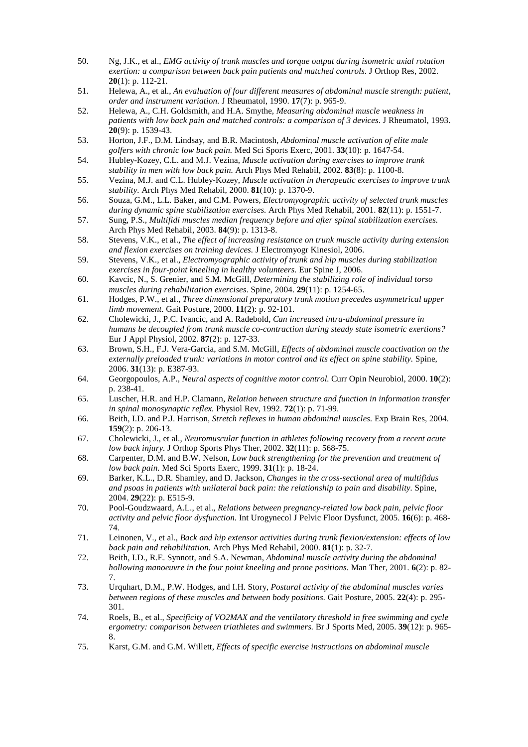- 50. Ng, J.K., et al., *EMG activity of trunk muscles and torque output during isometric axial rotation exertion: a comparison between back pain patients and matched controls.* J Orthop Res, 2002. **20**(1): p. 112-21.
- 51. Helewa, A., et al., *An evaluation of four different measures of abdominal muscle strength: patient, order and instrument variation.* J Rheumatol, 1990. **17**(7): p. 965-9.
- 52. Helewa, A., C.H. Goldsmith, and H.A. Smythe, *Measuring abdominal muscle weakness in patients with low back pain and matched controls: a comparison of 3 devices.* J Rheumatol, 1993. **20**(9): p. 1539-43.
- 53. Horton, J.F., D.M. Lindsay, and B.R. Macintosh, *Abdominal muscle activation of elite male golfers with chronic low back pain.* Med Sci Sports Exerc, 2001. **33**(10): p. 1647-54.
- 54. Hubley-Kozey, C.L. and M.J. Vezina, *Muscle activation during exercises to improve trunk stability in men with low back pain.* Arch Phys Med Rehabil, 2002. **83**(8): p. 1100-8.
- 55. Vezina, M.J. and C.L. Hubley-Kozey, *Muscle activation in therapeutic exercises to improve trunk stability.* Arch Phys Med Rehabil, 2000. **81**(10): p. 1370-9.
- 56. Souza, G.M., L.L. Baker, and C.M. Powers, *Electromyographic activity of selected trunk muscles during dynamic spine stabilization exercises.* Arch Phys Med Rehabil, 2001. **82**(11): p. 1551-7.
- 57. Sung, P.S., *Multifidi muscles median frequency before and after spinal stabilization exercises.* Arch Phys Med Rehabil, 2003. **84**(9): p. 1313-8.
- 58. Stevens, V.K., et al., *The effect of increasing resistance on trunk muscle activity during extension and flexion exercises on training devices.* J Electromyogr Kinesiol, 2006.
- 59. Stevens, V.K., et al., *Electromyographic activity of trunk and hip muscles during stabilization exercises in four-point kneeling in healthy volunteers.* Eur Spine J, 2006.
- 60. Kavcic, N., S. Grenier, and S.M. McGill, *Determining the stabilizing role of individual torso muscles during rehabilitation exercises.* Spine, 2004. **29**(11): p. 1254-65.
- 61. Hodges, P.W., et al., *Three dimensional preparatory trunk motion precedes asymmetrical upper limb movement.* Gait Posture, 2000. **11**(2): p. 92-101.
- 62. Cholewicki, J., P.C. Ivancic, and A. Radebold, *Can increased intra-abdominal pressure in humans be decoupled from trunk muscle co-contraction during steady state isometric exertions?* Eur J Appl Physiol, 2002. **87**(2): p. 127-33.
- 63. Brown, S.H., F.J. Vera-Garcia, and S.M. McGill, *Effects of abdominal muscle coactivation on the externally preloaded trunk: variations in motor control and its effect on spine stability.* Spine, 2006. **31**(13): p. E387-93.
- 64. Georgopoulos, A.P., *Neural aspects of cognitive motor control.* Curr Opin Neurobiol, 2000. **10**(2): p. 238-41.
- 65. Luscher, H.R. and H.P. Clamann, *Relation between structure and function in information transfer in spinal monosynaptic reflex.* Physiol Rev, 1992. **72**(1): p. 71-99.
- 66. Beith, I.D. and P.J. Harrison, *Stretch reflexes in human abdominal muscles.* Exp Brain Res, 2004. **159**(2): p. 206-13.
- 67. Cholewicki, J., et al., *Neuromuscular function in athletes following recovery from a recent acute low back injury.* J Orthop Sports Phys Ther, 2002. **32**(11): p. 568-75.
- 68. Carpenter, D.M. and B.W. Nelson, *Low back strengthening for the prevention and treatment of low back pain.* Med Sci Sports Exerc, 1999. **31**(1): p. 18-24.
- 69. Barker, K.L., D.R. Shamley, and D. Jackson, *Changes in the cross-sectional area of multifidus and psoas in patients with unilateral back pain: the relationship to pain and disability.* Spine, 2004. **29**(22): p. E515-9.
- 70. Pool-Goudzwaard, A.L., et al., *Relations between pregnancy-related low back pain, pelvic floor activity and pelvic floor dysfunction.* Int Urogynecol J Pelvic Floor Dysfunct, 2005. **16**(6): p. 468- 74.
- 71. Leinonen, V., et al., *Back and hip extensor activities during trunk flexion/extension: effects of low back pain and rehabilitation.* Arch Phys Med Rehabil, 2000. **81**(1): p. 32-7.
- 72. Beith, I.D., R.E. Synnott, and S.A. Newman, *Abdominal muscle activity during the abdominal hollowing manoeuvre in the four point kneeling and prone positions.* Man Ther, 2001. **6**(2): p. 82- 7.
- 73. Urquhart, D.M., P.W. Hodges, and I.H. Story, *Postural activity of the abdominal muscles varies between regions of these muscles and between body positions.* Gait Posture, 2005. **22**(4): p. 295- 301.
- 74. Roels, B., et al., *Specificity of VO2MAX and the ventilatory threshold in free swimming and cycle ergometry: comparison between triathletes and swimmers.* Br J Sports Med, 2005. **39**(12): p. 965- 8.
- 75. Karst, G.M. and G.M. Willett, *Effects of specific exercise instructions on abdominal muscle*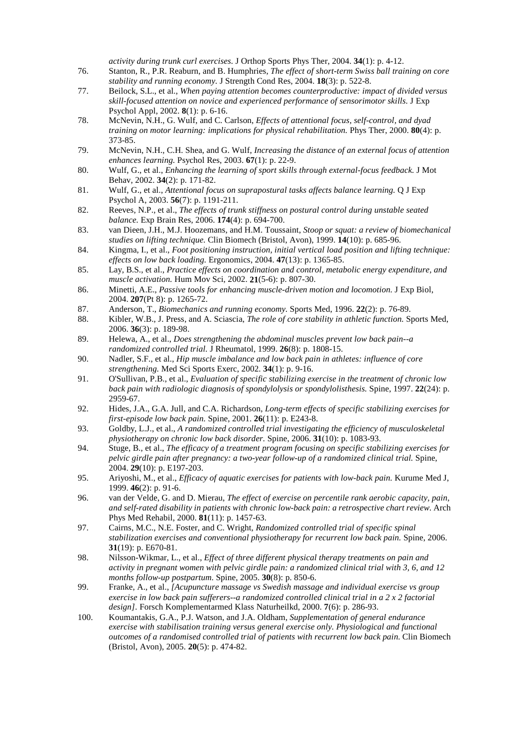*activity during trunk curl exercises.* J Orthop Sports Phys Ther, 2004. **34**(1): p. 4-12.

- 76. Stanton, R., P.R. Reaburn, and B. Humphries, *The effect of short-term Swiss ball training on core stability and running economy.* J Strength Cond Res, 2004. **18**(3): p. 522-8.
- 77. Beilock, S.L., et al., *When paying attention becomes counterproductive: impact of divided versus skill-focused attention on novice and experienced performance of sensorimotor skills.* J Exp Psychol Appl, 2002. **8**(1): p. 6-16.
- 78. McNevin, N.H., G. Wulf, and C. Carlson, *Effects of attentional focus, self-control, and dyad training on motor learning: implications for physical rehabilitation.* Phys Ther, 2000. **80**(4): p. 373-85.
- 79. McNevin, N.H., C.H. Shea, and G. Wulf, *Increasing the distance of an external focus of attention enhances learning.* Psychol Res, 2003. **67**(1): p. 22-9.
- 80. Wulf, G., et al., *Enhancing the learning of sport skills through external-focus feedback.* J Mot Behav, 2002. **34**(2): p. 171-82.
- 81. Wulf, G., et al., *Attentional focus on suprapostural tasks affects balance learning.* Q J Exp Psychol A, 2003. **56**(7): p. 1191-211.
- 82. Reeves, N.P., et al., *The effects of trunk stiffness on postural control during unstable seated balance.* Exp Brain Res, 2006. **174**(4): p. 694-700.
- 83. van Dieen, J.H., M.J. Hoozemans, and H.M. Toussaint, *Stoop or squat: a review of biomechanical studies on lifting technique.* Clin Biomech (Bristol, Avon), 1999. **14**(10): p. 685-96.
- 84. Kingma, I., et al., *Foot positioning instruction, initial vertical load position and lifting technique: effects on low back loading.* Ergonomics, 2004. **47**(13): p. 1365-85.
- 85. Lay, B.S., et al., *Practice effects on coordination and control, metabolic energy expenditure, and muscle activation.* Hum Mov Sci, 2002. **21**(5-6): p. 807-30.
- 86. Minetti, A.E., *Passive tools for enhancing muscle-driven motion and locomotion.* J Exp Biol, 2004. **207**(Pt 8): p. 1265-72.
- 87. Anderson, T., *Biomechanics and running economy.* Sports Med, 1996. **22**(2): p. 76-89.
- 88. Kibler, W.B., J. Press, and A. Sciascia, *The role of core stability in athletic function.* Sports Med, 2006. **36**(3): p. 189-98.
- 89. Helewa, A., et al., *Does strengthening the abdominal muscles prevent low back pain--a randomized controlled trial.* J Rheumatol, 1999. **26**(8): p. 1808-15.
- 90. Nadler, S.F., et al., *Hip muscle imbalance and low back pain in athletes: influence of core strengthening.* Med Sci Sports Exerc, 2002. **34**(1): p. 9-16.
- 91. O'Sullivan, P.B., et al., *Evaluation of specific stabilizing exercise in the treatment of chronic low back pain with radiologic diagnosis of spondylolysis or spondylolisthesis.* Spine, 1997. **22**(24): p. 2959-67.
- 92. Hides, J.A., G.A. Jull, and C.A. Richardson, *Long-term effects of specific stabilizing exercises for first-episode low back pain.* Spine, 2001. **26**(11): p. E243-8.
- 93. Goldby, L.J., et al., *A randomized controlled trial investigating the efficiency of musculoskeletal physiotherapy on chronic low back disorder.* Spine, 2006. **31**(10): p. 1083-93.
- 94. Stuge, B., et al., *The efficacy of a treatment program focusing on specific stabilizing exercises for pelvic girdle pain after pregnancy: a two-year follow-up of a randomized clinical trial.* Spine, 2004. **29**(10): p. E197-203.
- 95. Ariyoshi, M., et al., *Efficacy of aquatic exercises for patients with low-back pain.* Kurume Med J, 1999. **46**(2): p. 91-6.
- 96. van der Velde, G. and D. Mierau, *The effect of exercise on percentile rank aerobic capacity, pain, and self-rated disability in patients with chronic low-back pain: a retrospective chart review.* Arch Phys Med Rehabil, 2000. **81**(11): p. 1457-63.
- 97. Cairns, M.C., N.E. Foster, and C. Wright, *Randomized controlled trial of specific spinal stabilization exercises and conventional physiotherapy for recurrent low back pain.* Spine, 2006. **31**(19): p. E670-81.
- 98. Nilsson-Wikmar, L., et al., *Effect of three different physical therapy treatments on pain and activity in pregnant women with pelvic girdle pain: a randomized clinical trial with 3, 6, and 12 months follow-up postpartum.* Spine, 2005. **30**(8): p. 850-6.
- 99. Franke, A., et al., *[Acupuncture massage vs Swedish massage and individual exercise vs group exercise in low back pain sufferers--a randomized controlled clinical trial in a 2 x 2 factorial design].* Forsch Komplementarmed Klass Naturheilkd, 2000. **7**(6): p. 286-93.
- 100. Koumantakis, G.A., P.J. Watson, and J.A. Oldham, *Supplementation of general endurance exercise with stabilisation training versus general exercise only. Physiological and functional outcomes of a randomised controlled trial of patients with recurrent low back pain.* Clin Biomech (Bristol, Avon), 2005. **20**(5): p. 474-82.